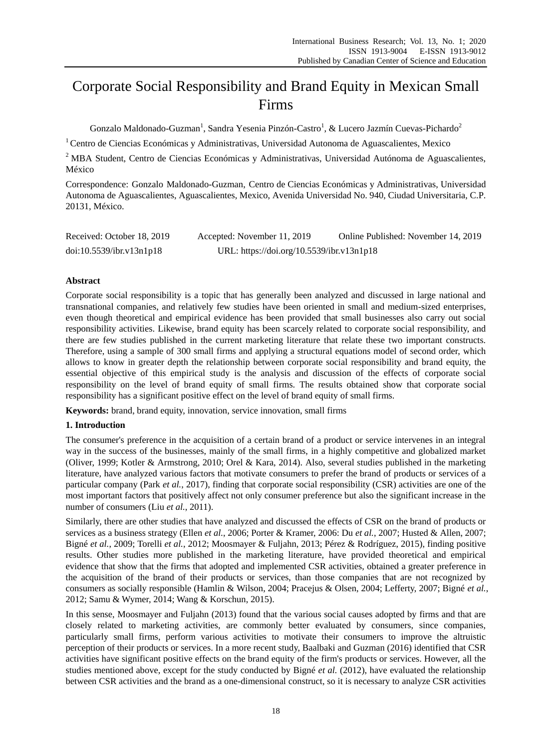# Corporate Social Responsibility and Brand Equity in Mexican Small Firms

Gonzalo Maldonado-Guzman<sup>1</sup>, Sandra Yesenia Pinzón-Castro<sup>1</sup>, & Lucero Jazm *î*n Cuevas-Pichardo<sup>2</sup>

 $1$ Centro de Ciencias Económicas y Administrativas, Universidad Autonoma de Aguascalientes, Mexico

<sup>2</sup> MBA Student, Centro de Ciencias Económicas y Administrativas, Universidad Autónoma de Aguascalientes, México

Correspondence: Gonzalo Maldonado-Guzman, Centro de Ciencias Económicas y Administrativas, Universidad Autonoma de Aguascalientes, Aguascalientes, Mexico, Avenida Universidad No. 940, Ciudad Universitaria, C.P. 20131, México.

| Received: October 18, 2019 | Accepted: November 11, 2019               | Online Published: November 14, 2019 |
|----------------------------|-------------------------------------------|-------------------------------------|
| doi:10.5539/ibr.v13n1p18   | URL: https://doi.org/10.5539/ibr.v13n1p18 |                                     |

## **Abstract**

Corporate social responsibility is a topic that has generally been analyzed and discussed in large national and transnational companies, and relatively few studies have been oriented in small and medium-sized enterprises, even though theoretical and empirical evidence has been provided that small businesses also carry out social responsibility activities. Likewise, brand equity has been scarcely related to corporate social responsibility, and there are few studies published in the current marketing literature that relate these two important constructs. Therefore, using a sample of 300 small firms and applying a structural equations model of second order, which allows to know in greater depth the relationship between corporate social responsibility and brand equity, the essential objective of this empirical study is the analysis and discussion of the effects of corporate social responsibility on the level of brand equity of small firms. The results obtained show that corporate social responsibility has a significant positive effect on the level of brand equity of small firms.

**Keywords:** brand, brand equity, innovation, service innovation, small firms

# **1. Introduction**

The consumer's preference in the acquisition of a certain brand of a product or service intervenes in an integral way in the success of the businesses, mainly of the small firms, in a highly competitive and globalized market (Oliver, 1999; Kotler & Armstrong, 2010; Orel & Kara, 2014). Also, several studies published in the marketing literature, have analyzed various factors that motivate consumers to prefer the brand of products or services of a particular company (Park *et al.*, 2017), finding that corporate social responsibility (CSR) activities are one of the most important factors that positively affect not only consumer preference but also the significant increase in the number of consumers (Liu *et al.*, 2011).

Similarly, there are other studies that have analyzed and discussed the effects of CSR on the brand of products or services as a business strategy (Ellen *et al.*, 2006; Porter & Kramer, 2006: Du *et al.*, 2007; Husted & Allen, 2007; Bign é et al., 2009; Torelli et al., 2012; Moosmayer & Fuljahn, 2013; Pérez & Rodr éuez, 2015), finding positive results. Other studies more published in the marketing literature, have provided theoretical and empirical evidence that show that the firms that adopted and implemented CSR activities, obtained a greater preference in the acquisition of the brand of their products or services, than those companies that are not recognized by consumers as socially responsible (Hamlin & Wilson, 2004; Pracejus & Olsen, 2004; Lefferty, 2007; Bigné *et al.*, 2012; Samu & Wymer, 2014; Wang & Korschun, 2015).

In this sense, Moosmayer and Fuljahn (2013) found that the various social causes adopted by firms and that are closely related to marketing activities, are commonly better evaluated by consumers, since companies, particularly small firms, perform various activities to motivate their consumers to improve the altruistic perception of their products or services. In a more recent study, Baalbaki and Guzman (2016) identified that CSR activities have significant positive effects on the brand equity of the firm's products or services. However, all the studies mentioned above, except for the study conducted by Bign éet al. (2012), have evaluated the relationship between CSR activities and the brand as a one-dimensional construct, so it is necessary to analyze CSR activities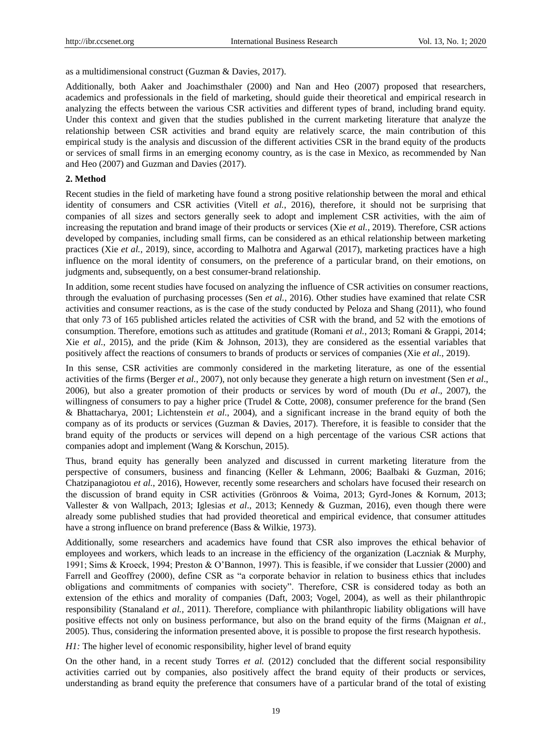as a multidimensional construct (Guzman & Davies, 2017).

Additionally, both Aaker and Joachimsthaler (2000) and Nan and Heo (2007) proposed that researchers, academics and professionals in the field of marketing, should guide their theoretical and empirical research in analyzing the effects between the various CSR activities and different types of brand, including brand equity. Under this context and given that the studies published in the current marketing literature that analyze the relationship between CSR activities and brand equity are relatively scarce, the main contribution of this empirical study is the analysis and discussion of the different activities CSR in the brand equity of the products or services of small firms in an emerging economy country, as is the case in Mexico, as recommended by Nan and Heo (2007) and Guzman and Davies (2017).

#### **2. Method**

Recent studies in the field of marketing have found a strong positive relationship between the moral and ethical identity of consumers and CSR activities (Vitell *et al.*, 2016), therefore, it should not be surprising that companies of all sizes and sectors generally seek to adopt and implement CSR activities, with the aim of increasing the reputation and brand image of their products or services (Xie *et al.*, 2019). Therefore, CSR actions developed by companies, including small firms, can be considered as an ethical relationship between marketing practices (Xie *et al.*, 2019), since, according to Malhotra and Agarwal (2017), marketing practices have a high influence on the moral identity of consumers, on the preference of a particular brand, on their emotions, on judgments and, subsequently, on a best consumer-brand relationship.

In addition, some recent studies have focused on analyzing the influence of CSR activities on consumer reactions, through the evaluation of purchasing processes (Sen *et al.*, 2016). Other studies have examined that relate CSR activities and consumer reactions, as is the case of the study conducted by Peloza and Shang (2011), who found that only 73 of 165 published articles related the activities of CSR with the brand, and 52 with the emotions of consumption. Therefore, emotions such as attitudes and gratitude (Romani *et al.*, 2013; Romani & Grappi, 2014; Xie *et al.*, 2015), and the pride (Kim & Johnson, 2013), they are considered as the essential variables that positively affect the reactions of consumers to brands of products or services of companies (Xie *et al.*, 2019).

In this sense, CSR activities are commonly considered in the marketing literature, as one of the essential activities of the firms (Berger *et al.*, 2007), not only because they generate a high return on investment (Sen *et al*., 2006), but also a greater promotion of their products or services by word of mouth (Du *et al*., 2007), the willingness of consumers to pay a higher price (Trudel & Cotte, 2008), consumer preference for the brand (Sen & Bhattacharya, 2001; Lichtenstein *et al*., 2004), and a significant increase in the brand equity of both the company as of its products or services (Guzman & Davies, 2017). Therefore, it is feasible to consider that the brand equity of the products or services will depend on a high percentage of the various CSR actions that companies adopt and implement (Wang & Korschun, 2015).

Thus, brand equity has generally been analyzed and discussed in current marketing literature from the perspective of consumers, business and financing (Keller & Lehmann, 2006; Baalbaki & Guzman, 2016; Chatzipanagiotou *et al.*, 2016), However, recently some researchers and scholars have focused their research on the discussion of brand equity in CSR activities (Grönroos & Voima, 2013; Gyrd-Jones & Kornum, 2013; Vallester & von Wallpach, 2013; Iglesias *et al*., 2013; Kennedy & Guzman, 2016), even though there were already some published studies that had provided theoretical and empirical evidence, that consumer attitudes have a strong influence on brand preference (Bass & Wilkie, 1973).

Additionally, some researchers and academics have found that CSR also improves the ethical behavior of employees and workers, which leads to an increase in the efficiency of the organization (Laczniak & Murphy, 1991; Sims & Kroeck, 1994; Preston & O'Bannon, 1997). This is feasible, if we consider that Lussier (2000) and Farrell and Geoffrey (2000), define CSR as "a corporate behavior in relation to business ethics that includes obligations and commitments of companies with society". Therefore, CSR is considered today as both an extension of the ethics and morality of companies (Daft, 2003; Vogel, 2004), as well as their philanthropic responsibility (Stanaland *et al.*, 2011). Therefore, compliance with philanthropic liability obligations will have positive effects not only on business performance, but also on the brand equity of the firms (Maignan *et al.*, 2005). Thus, considering the information presented above, it is possible to propose the first research hypothesis.

*H1*: The higher level of economic responsibility, higher level of brand equity

On the other hand, in a recent study Torres *et al.* (2012) concluded that the different social responsibility activities carried out by companies, also positively affect the brand equity of their products or services, understanding as brand equity the preference that consumers have of a particular brand of the total of existing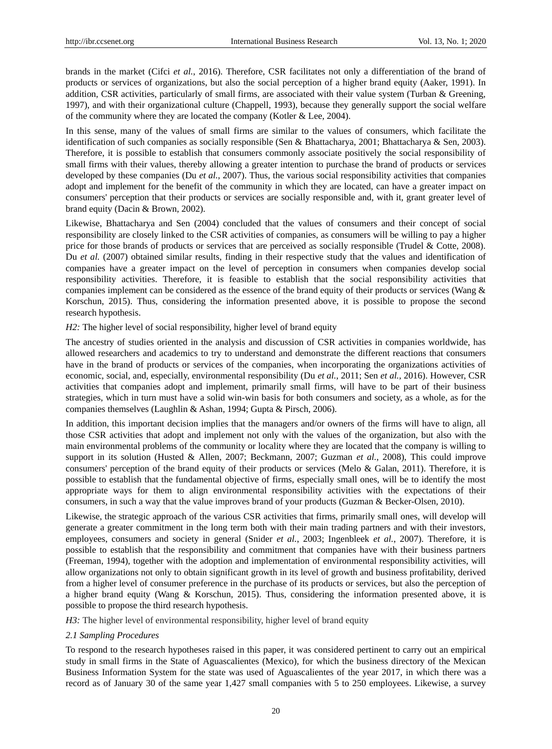brands in the market (Cifci *et al.*, 2016). Therefore, CSR facilitates not only a differentiation of the brand of products or services of organizations, but also the social perception of a higher brand equity (Aaker, 1991). In addition, CSR activities, particularly of small firms, are associated with their value system (Turban & Greening, 1997), and with their organizational culture (Chappell, 1993), because they generally support the social welfare of the community where they are located the company (Kotler & Lee, 2004).

In this sense, many of the values of small firms are similar to the values of consumers, which facilitate the identification of such companies as socially responsible (Sen & Bhattacharya, 2001; Bhattacharya & Sen, 2003). Therefore, it is possible to establish that consumers commonly associate positively the social responsibility of small firms with their values, thereby allowing a greater intention to purchase the brand of products or services developed by these companies (Du *et al.*, 2007). Thus, the various social responsibility activities that companies adopt and implement for the benefit of the community in which they are located, can have a greater impact on consumers' perception that their products or services are socially responsible and, with it, grant greater level of brand equity (Dacin & Brown, 2002).

Likewise, Bhattacharya and Sen (2004) concluded that the values of consumers and their concept of social responsibility are closely linked to the CSR activities of companies, as consumers will be willing to pay a higher price for those brands of products or services that are perceived as socially responsible (Trudel & Cotte, 2008). Du *et al.* (2007) obtained similar results, finding in their respective study that the values and identification of companies have a greater impact on the level of perception in consumers when companies develop social responsibility activities. Therefore, it is feasible to establish that the social responsibility activities that companies implement can be considered as the essence of the brand equity of their products or services (Wang & Korschun, 2015). Thus, considering the information presented above, it is possible to propose the second research hypothesis.

#### *H2*: The higher level of social responsibility, higher level of brand equity

The ancestry of studies oriented in the analysis and discussion of CSR activities in companies worldwide, has allowed researchers and academics to try to understand and demonstrate the different reactions that consumers have in the brand of products or services of the companies, when incorporating the organizations activities of economic, social, and, especially, environmental responsibility (Du *et al.*, 2011; Sen *et al.*, 2016). However, CSR activities that companies adopt and implement, primarily small firms, will have to be part of their business strategies, which in turn must have a solid win-win basis for both consumers and society, as a whole, as for the companies themselves (Laughlin & Ashan, 1994; Gupta & Pirsch, 2006).

In addition, this important decision implies that the managers and/or owners of the firms will have to align, all those CSR activities that adopt and implement not only with the values of the organization, but also with the main environmental problems of the community or locality where they are located that the company is willing to support in its solution (Husted & Allen, 2007; Beckmann, 2007; Guzman *et al.*, 2008), This could improve consumers' perception of the brand equity of their products or services (Melo & Galan, 2011). Therefore, it is possible to establish that the fundamental objective of firms, especially small ones, will be to identify the most appropriate ways for them to align environmental responsibility activities with the expectations of their consumers, in such a way that the value improves brand of your products (Guzman & Becker-Olsen, 2010).

Likewise, the strategic approach of the various CSR activities that firms, primarily small ones, will develop will generate a greater commitment in the long term both with their main trading partners and with their investors, employees, consumers and society in general (Snider *et al.*, 2003; Ingenbleek *et al.*, 2007). Therefore, it is possible to establish that the responsibility and commitment that companies have with their business partners (Freeman, 1994), together with the adoption and implementation of environmental responsibility activities, will allow organizations not only to obtain significant growth in its level of growth and business profitability, derived from a higher level of consumer preference in the purchase of its products or services, but also the perception of a higher brand equity (Wang & Korschun, 2015). Thus, considering the information presented above, it is possible to propose the third research hypothesis.

*H3*: The higher level of environmental responsibility, higher level of brand equity

### *2.1 Sampling Procedures*

To respond to the research hypotheses raised in this paper, it was considered pertinent to carry out an empirical study in small firms in the State of Aguascalientes (Mexico), for which the business directory of the Mexican Business Information System for the state was used of Aguascalientes of the year 2017, in which there was a record as of January 30 of the same year 1,427 small companies with 5 to 250 employees. Likewise, a survey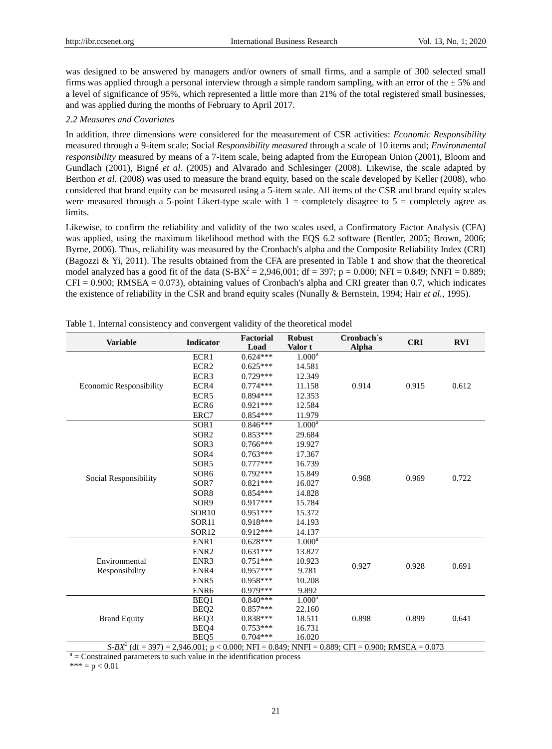was designed to be answered by managers and/or owners of small firms, and a sample of 300 selected small firms was applied through a personal interview through a simple random sampling, with an error of the  $\pm 5\%$  and a level of significance of 95%, which represented a little more than 21% of the total registered small businesses, and was applied during the months of February to April 2017.

#### *2.2 Measures and Covariates*

In addition, three dimensions were considered for the measurement of CSR activities: *Economic Responsibility* measured through a 9-item scale; Social *Responsibility measured* through a scale of 10 items and; *Environmental responsibility* measured by means of a 7-item scale, being adapted from the European Union (2001), Bloom and Gundlach (2001), Bigné *et al.* (2005) and Alvarado and Schlesinger (2008). Likewise, the scale adapted by Berthon *et al.* (2008) was used to measure the brand equity, based on the scale developed by Keller (2008), who considered that brand equity can be measured using a 5-item scale. All items of the CSR and brand equity scales were measured through a 5-point Likert-type scale with  $1 =$  completely disagree to  $5 =$  completely agree as limits.

Likewise, to confirm the reliability and validity of the two scales used, a Confirmatory Factor Analysis (CFA) was applied, using the maximum likelihood method with the EQS 6.2 software (Bentler, 2005; Brown, 2006; Byrne, 2006). Thus, reliability was measured by the Cronbach's alpha and the Composite Reliability Index (CRI) (Bagozzi & Yi, 2011). The results obtained from the CFA are presented in Table 1 and show that the theoretical model analyzed has a good fit of the data  $(S-BX^2 = 2,946,001; df = 397; p = 0.000; NFI = 0.849; NNFI = 0.889;$  $CFI = 0.900$ ; RMSEA = 0.073), obtaining values of Cronbach's alpha and CRI greater than 0.7, which indicates the existence of reliability in the CSR and brand equity scales (Nunally & Bernstein, 1994; Hair *et al.*, 1995).

| 1.000 <sup>a</sup><br>ECR1<br>$0.624***$<br>ECR <sub>2</sub><br>$0.625***$<br>14.581<br>ECR3<br>$0.729***$<br>12.349<br>ECR4<br>$0.774***$<br>0.915<br>0.612<br><b>Economic Responsibility</b><br>11.158<br>0.914<br>ECR5<br>$0.894***$<br>12.353<br>ECR <sub>6</sub><br>$0.921***$<br>12.584<br>ERC7<br>$0.854***$<br>11.979<br>1.000 <sup>a</sup><br>$0.846***$<br>SOR <sub>1</sub><br>SOR <sub>2</sub><br>$0.853***$<br>29.684<br>SOR <sub>3</sub><br>$0.766***$<br>19.927<br>SOR4<br>$0.763***$<br>17.367<br>SOR5<br>$0.777***$<br>16.739<br>SOR <sub>6</sub><br>$0.792***$<br>15.849<br>0.969<br>0.722<br>Social Responsibility<br>0.968<br>SOR7<br>$0.821***$<br>16.027<br>SOR <sub>8</sub><br>$0.854***$<br>14.828<br>SOR9<br>$0.917***$<br>15.784<br>$0.951***$<br>SOR <sub>10</sub><br>15.372<br>SOR11<br>$0.918***$<br>14.193<br>SOR <sub>12</sub><br>$0.912***$<br>14.137<br>$1.000^a$<br>ENR1<br>$0.628***$<br>ENR <sub>2</sub><br>$0.631***$<br>13.827<br>ENR3<br>Environmental<br>$0.751***$<br>10.923<br>0.927<br>0.928<br>0.691<br>Responsibility<br>ENR4<br>$0.957***$<br>9.781<br>ENR5<br>$0.958***$<br>10.208<br>$0.979***$<br>9.892<br>ENR <sub>6</sub><br>1.000 <sup>a</sup><br>$0.840***$<br>BEQ1<br>$0.857***$<br>BEQ <sub>2</sub><br>22.160<br><b>Brand Equity</b><br>BEQ3<br>$0.838***$<br>18.511<br>0.898<br>0.899<br>0.641<br>$0.753***$<br>BEQ4<br>16.731<br>BEQ5<br>$0.704***$<br>16.020 | <b>Variable</b> | <b>Indicator</b> | <b>Factorial</b><br>Load | <b>Robust</b><br>Valor t | Cronbach s<br>Alpha | <b>CRI</b> | <b>RVI</b> |
|-----------------------------------------------------------------------------------------------------------------------------------------------------------------------------------------------------------------------------------------------------------------------------------------------------------------------------------------------------------------------------------------------------------------------------------------------------------------------------------------------------------------------------------------------------------------------------------------------------------------------------------------------------------------------------------------------------------------------------------------------------------------------------------------------------------------------------------------------------------------------------------------------------------------------------------------------------------------------------------------------------------------------------------------------------------------------------------------------------------------------------------------------------------------------------------------------------------------------------------------------------------------------------------------------------------------------------------------------------------------------------------------------------------------------|-----------------|------------------|--------------------------|--------------------------|---------------------|------------|------------|
|                                                                                                                                                                                                                                                                                                                                                                                                                                                                                                                                                                                                                                                                                                                                                                                                                                                                                                                                                                                                                                                                                                                                                                                                                                                                                                                                                                                                                       |                 |                  |                          |                          |                     |            |            |
|                                                                                                                                                                                                                                                                                                                                                                                                                                                                                                                                                                                                                                                                                                                                                                                                                                                                                                                                                                                                                                                                                                                                                                                                                                                                                                                                                                                                                       |                 |                  |                          |                          |                     |            |            |
|                                                                                                                                                                                                                                                                                                                                                                                                                                                                                                                                                                                                                                                                                                                                                                                                                                                                                                                                                                                                                                                                                                                                                                                                                                                                                                                                                                                                                       |                 |                  |                          |                          |                     |            |            |
|                                                                                                                                                                                                                                                                                                                                                                                                                                                                                                                                                                                                                                                                                                                                                                                                                                                                                                                                                                                                                                                                                                                                                                                                                                                                                                                                                                                                                       |                 |                  |                          |                          |                     |            |            |
|                                                                                                                                                                                                                                                                                                                                                                                                                                                                                                                                                                                                                                                                                                                                                                                                                                                                                                                                                                                                                                                                                                                                                                                                                                                                                                                                                                                                                       |                 |                  |                          |                          |                     |            |            |
|                                                                                                                                                                                                                                                                                                                                                                                                                                                                                                                                                                                                                                                                                                                                                                                                                                                                                                                                                                                                                                                                                                                                                                                                                                                                                                                                                                                                                       |                 |                  |                          |                          |                     |            |            |
|                                                                                                                                                                                                                                                                                                                                                                                                                                                                                                                                                                                                                                                                                                                                                                                                                                                                                                                                                                                                                                                                                                                                                                                                                                                                                                                                                                                                                       |                 |                  |                          |                          |                     |            |            |
|                                                                                                                                                                                                                                                                                                                                                                                                                                                                                                                                                                                                                                                                                                                                                                                                                                                                                                                                                                                                                                                                                                                                                                                                                                                                                                                                                                                                                       |                 |                  |                          |                          |                     |            |            |
|                                                                                                                                                                                                                                                                                                                                                                                                                                                                                                                                                                                                                                                                                                                                                                                                                                                                                                                                                                                                                                                                                                                                                                                                                                                                                                                                                                                                                       |                 |                  |                          |                          |                     |            |            |
|                                                                                                                                                                                                                                                                                                                                                                                                                                                                                                                                                                                                                                                                                                                                                                                                                                                                                                                                                                                                                                                                                                                                                                                                                                                                                                                                                                                                                       |                 |                  |                          |                          |                     |            |            |
|                                                                                                                                                                                                                                                                                                                                                                                                                                                                                                                                                                                                                                                                                                                                                                                                                                                                                                                                                                                                                                                                                                                                                                                                                                                                                                                                                                                                                       |                 |                  |                          |                          |                     |            |            |
|                                                                                                                                                                                                                                                                                                                                                                                                                                                                                                                                                                                                                                                                                                                                                                                                                                                                                                                                                                                                                                                                                                                                                                                                                                                                                                                                                                                                                       |                 |                  |                          |                          |                     |            |            |
|                                                                                                                                                                                                                                                                                                                                                                                                                                                                                                                                                                                                                                                                                                                                                                                                                                                                                                                                                                                                                                                                                                                                                                                                                                                                                                                                                                                                                       |                 |                  |                          |                          |                     |            |            |
|                                                                                                                                                                                                                                                                                                                                                                                                                                                                                                                                                                                                                                                                                                                                                                                                                                                                                                                                                                                                                                                                                                                                                                                                                                                                                                                                                                                                                       |                 |                  |                          |                          |                     |            |            |
|                                                                                                                                                                                                                                                                                                                                                                                                                                                                                                                                                                                                                                                                                                                                                                                                                                                                                                                                                                                                                                                                                                                                                                                                                                                                                                                                                                                                                       |                 |                  |                          |                          |                     |            |            |
|                                                                                                                                                                                                                                                                                                                                                                                                                                                                                                                                                                                                                                                                                                                                                                                                                                                                                                                                                                                                                                                                                                                                                                                                                                                                                                                                                                                                                       |                 |                  |                          |                          |                     |            |            |
|                                                                                                                                                                                                                                                                                                                                                                                                                                                                                                                                                                                                                                                                                                                                                                                                                                                                                                                                                                                                                                                                                                                                                                                                                                                                                                                                                                                                                       |                 |                  |                          |                          |                     |            |            |
|                                                                                                                                                                                                                                                                                                                                                                                                                                                                                                                                                                                                                                                                                                                                                                                                                                                                                                                                                                                                                                                                                                                                                                                                                                                                                                                                                                                                                       |                 |                  |                          |                          |                     |            |            |
|                                                                                                                                                                                                                                                                                                                                                                                                                                                                                                                                                                                                                                                                                                                                                                                                                                                                                                                                                                                                                                                                                                                                                                                                                                                                                                                                                                                                                       |                 |                  |                          |                          |                     |            |            |
|                                                                                                                                                                                                                                                                                                                                                                                                                                                                                                                                                                                                                                                                                                                                                                                                                                                                                                                                                                                                                                                                                                                                                                                                                                                                                                                                                                                                                       |                 |                  |                          |                          |                     |            |            |
|                                                                                                                                                                                                                                                                                                                                                                                                                                                                                                                                                                                                                                                                                                                                                                                                                                                                                                                                                                                                                                                                                                                                                                                                                                                                                                                                                                                                                       |                 |                  |                          |                          |                     |            |            |
|                                                                                                                                                                                                                                                                                                                                                                                                                                                                                                                                                                                                                                                                                                                                                                                                                                                                                                                                                                                                                                                                                                                                                                                                                                                                                                                                                                                                                       |                 |                  |                          |                          |                     |            |            |
|                                                                                                                                                                                                                                                                                                                                                                                                                                                                                                                                                                                                                                                                                                                                                                                                                                                                                                                                                                                                                                                                                                                                                                                                                                                                                                                                                                                                                       |                 |                  |                          |                          |                     |            |            |
|                                                                                                                                                                                                                                                                                                                                                                                                                                                                                                                                                                                                                                                                                                                                                                                                                                                                                                                                                                                                                                                                                                                                                                                                                                                                                                                                                                                                                       |                 |                  |                          |                          |                     |            |            |
|                                                                                                                                                                                                                                                                                                                                                                                                                                                                                                                                                                                                                                                                                                                                                                                                                                                                                                                                                                                                                                                                                                                                                                                                                                                                                                                                                                                                                       |                 |                  |                          |                          |                     |            |            |
|                                                                                                                                                                                                                                                                                                                                                                                                                                                                                                                                                                                                                                                                                                                                                                                                                                                                                                                                                                                                                                                                                                                                                                                                                                                                                                                                                                                                                       |                 |                  |                          |                          |                     |            |            |
|                                                                                                                                                                                                                                                                                                                                                                                                                                                                                                                                                                                                                                                                                                                                                                                                                                                                                                                                                                                                                                                                                                                                                                                                                                                                                                                                                                                                                       |                 |                  |                          |                          |                     |            |            |
|                                                                                                                                                                                                                                                                                                                                                                                                                                                                                                                                                                                                                                                                                                                                                                                                                                                                                                                                                                                                                                                                                                                                                                                                                                                                                                                                                                                                                       |                 |                  |                          |                          |                     |            |            |
|                                                                                                                                                                                                                                                                                                                                                                                                                                                                                                                                                                                                                                                                                                                                                                                                                                                                                                                                                                                                                                                                                                                                                                                                                                                                                                                                                                                                                       |                 |                  |                          |                          |                     |            |            |
| $S-BX2$ (df = 397) = 2,946.001; p < 0.000; NFI = 0.849; NNFI = 0.889; CFI = 0.900; RMSEA = 0.073                                                                                                                                                                                                                                                                                                                                                                                                                                                                                                                                                                                                                                                                                                                                                                                                                                                                                                                                                                                                                                                                                                                                                                                                                                                                                                                      |                 |                  |                          |                          |                     |            |            |

Table 1. Internal consistency and convergent validity of the theoretical model

 $a =$ Constrained parameters to such value in the identification process

\*\*\*  $= p < 0.01$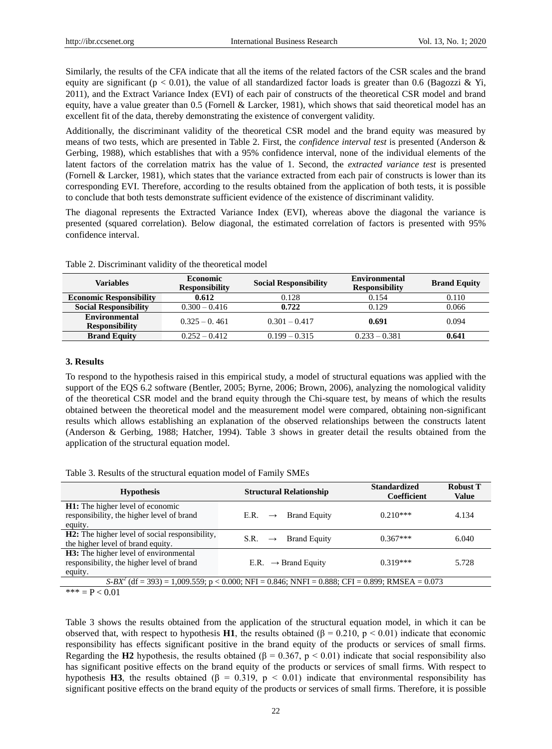Similarly, the results of the CFA indicate that all the items of the related factors of the CSR scales and the brand equity are significant ( $p < 0.01$ ), the value of all standardized factor loads is greater than 0.6 (Bagozzi & Yi, 2011), and the Extract Variance Index (EVI) of each pair of constructs of the theoretical CSR model and brand equity, have a value greater than  $0.5$  (Fornell & Larcker, 1981), which shows that said theoretical model has an excellent fit of the data, thereby demonstrating the existence of convergent validity.

Additionally, the discriminant validity of the theoretical CSR model and the brand equity was measured by means of two tests, which are presented in Table 2. First, the *confidence interval test* is presented (Anderson & Gerbing, 1988), which establishes that with a 95% confidence interval, none of the individual elements of the latent factors of the correlation matrix has the value of 1. Second, the *extracted variance test* is presented (Fornell & Larcker, 1981), which states that the variance extracted from each pair of constructs is lower than its corresponding EVI. Therefore, according to the results obtained from the application of both tests, it is possible to conclude that both tests demonstrate sufficient evidence of the existence of discriminant validity.

The diagonal represents the Extracted Variance Index (EVI), whereas above the diagonal the variance is presented (squared correlation). Below diagonal, the estimated correlation of factors is presented with 95% confidence interval.

| <b>Variables</b>                              | <b>Economic</b><br><b>Responsibility</b> | <b>Social Responsibility</b> | <b>Environmental</b><br><b>Responsibility</b> | <b>Brand Equity</b> |
|-----------------------------------------------|------------------------------------------|------------------------------|-----------------------------------------------|---------------------|
| <b>Economic Responsibility</b>                | 0.612                                    | 0.128                        | 0.154                                         | 0.110               |
| <b>Social Responsibility</b>                  | $0.300 - 0.416$                          | 0.722                        | 0.129                                         | 0.066               |
| <b>Environmental</b><br><b>Responsibility</b> | $0.325 - 0.461$                          | $0.301 - 0.417$              | 0.691                                         | 0.094               |
| <b>Brand Equity</b>                           | $0.252 - 0.412$                          | $0.199 - 0.315$              | $0.233 - 0.381$                               | 0.641               |

| Table 2. Discriminant validity of the theoretical model |  |  |  |  |
|---------------------------------------------------------|--|--|--|--|
|---------------------------------------------------------|--|--|--|--|

#### **3. Results**

To respond to the hypothesis raised in this empirical study, a model of structural equations was applied with the support of the EQS 6.2 software (Bentler, 2005; Byrne, 2006; Brown, 2006), analyzing the nomological validity of the theoretical CSR model and the brand equity through the Chi-square test, by means of which the results obtained between the theoretical model and the measurement model were compared, obtaining non-significant results which allows establishing an explanation of the observed relationships between the constructs latent (Anderson & Gerbing, 1988; Hatcher, 1994). Table 3 shows in greater detail the results obtained from the application of the structural equation model.

Table 3. Results of the structural equation model of Family SMEs

| <b>Hypothesis</b>                                                                                    | <b>Structural Relationship</b>               | <b>Standardized</b><br>Coefficient | <b>Robust T</b><br><b>Value</b> |
|------------------------------------------------------------------------------------------------------|----------------------------------------------|------------------------------------|---------------------------------|
| <b>H1:</b> The higher level of economic<br>responsibility, the higher level of brand<br>equity.      | <b>Brand Equity</b><br>E.R.<br>$\rightarrow$ | $0.210***$                         | 4.134                           |
| <b>H2:</b> The higher level of social responsibility,<br>the higher level of brand equity.           | <b>Brand Equity</b><br>$S.R. \rightarrow$    | $0.367***$                         | 6.040                           |
| <b>H3:</b> The higher level of environmental<br>responsibility, the higher level of brand<br>equity. | E.R. $\rightarrow$ Brand Equity              | $0.319***$                         | 5.728                           |
| $S-BX2$ (df = 393) = 1,009.559; p < 0.000; NFI = 0.846; NNFI = 0.888; CFI = 0.899; RMSEA = 0.073     |                                              |                                    |                                 |
| *** = $P < 0.01$                                                                                     |                                              |                                    |                                 |

Table 3 shows the results obtained from the application of the structural equation model, in which it can be observed that, with respect to hypothesis **H1**, the results obtained (β = 0.210, p < 0.01) indicate that economic responsibility has effects significant positive in the brand equity of the products or services of small firms. Regarding the **H2** hypothesis, the results obtained ( $\beta = 0.367$ ,  $p < 0.01$ ) indicate that social responsibility also has significant positive effects on the brand equity of the products or services of small firms. With respect to hypothesis **H3**, the results obtained ( $\beta = 0.319$ ,  $p < 0.01$ ) indicate that environmental responsibility has significant positive effects on the brand equity of the products or services of small firms. Therefore, it is possible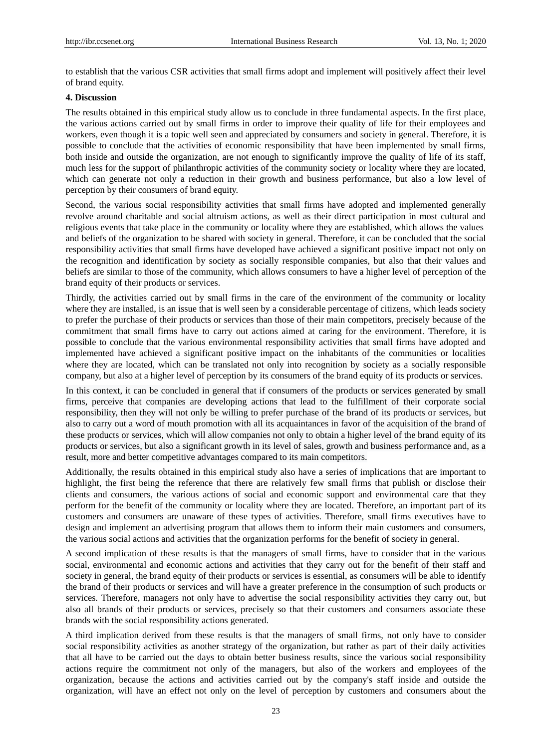to establish that the various CSR activities that small firms adopt and implement will positively affect their level of brand equity.

## **4. Discussion**

The results obtained in this empirical study allow us to conclude in three fundamental aspects. In the first place, the various actions carried out by small firms in order to improve their quality of life for their employees and workers, even though it is a topic well seen and appreciated by consumers and society in general. Therefore, it is possible to conclude that the activities of economic responsibility that have been implemented by small firms, both inside and outside the organization, are not enough to significantly improve the quality of life of its staff, much less for the support of philanthropic activities of the community society or locality where they are located, which can generate not only a reduction in their growth and business performance, but also a low level of perception by their consumers of brand equity.

Second, the various social responsibility activities that small firms have adopted and implemented generally revolve around charitable and social altruism actions, as well as their direct participation in most cultural and religious events that take place in the community or locality where they are established, which allows the values and beliefs of the organization to be shared with society in general. Therefore, it can be concluded that the social responsibility activities that small firms have developed have achieved a significant positive impact not only on the recognition and identification by society as socially responsible companies, but also that their values and beliefs are similar to those of the community, which allows consumers to have a higher level of perception of the brand equity of their products or services.

Thirdly, the activities carried out by small firms in the care of the environment of the community or locality where they are installed, is an issue that is well seen by a considerable percentage of citizens, which leads society to prefer the purchase of their products or services than those of their main competitors, precisely because of the commitment that small firms have to carry out actions aimed at caring for the environment. Therefore, it is possible to conclude that the various environmental responsibility activities that small firms have adopted and implemented have achieved a significant positive impact on the inhabitants of the communities or localities where they are located, which can be translated not only into recognition by society as a socially responsible company, but also at a higher level of perception by its consumers of the brand equity of its products or services.

In this context, it can be concluded in general that if consumers of the products or services generated by small firms, perceive that companies are developing actions that lead to the fulfillment of their corporate social responsibility, then they will not only be willing to prefer purchase of the brand of its products or services, but also to carry out a word of mouth promotion with all its acquaintances in favor of the acquisition of the brand of these products or services, which will allow companies not only to obtain a higher level of the brand equity of its products or services, but also a significant growth in its level of sales, growth and business performance and, as a result, more and better competitive advantages compared to its main competitors.

Additionally, the results obtained in this empirical study also have a series of implications that are important to highlight, the first being the reference that there are relatively few small firms that publish or disclose their clients and consumers, the various actions of social and economic support and environmental care that they perform for the benefit of the community or locality where they are located. Therefore, an important part of its customers and consumers are unaware of these types of activities. Therefore, small firms executives have to design and implement an advertising program that allows them to inform their main customers and consumers, the various social actions and activities that the organization performs for the benefit of society in general.

A second implication of these results is that the managers of small firms, have to consider that in the various social, environmental and economic actions and activities that they carry out for the benefit of their staff and society in general, the brand equity of their products or services is essential, as consumers will be able to identify the brand of their products or services and will have a greater preference in the consumption of such products or services. Therefore, managers not only have to advertise the social responsibility activities they carry out, but also all brands of their products or services, precisely so that their customers and consumers associate these brands with the social responsibility actions generated.

A third implication derived from these results is that the managers of small firms, not only have to consider social responsibility activities as another strategy of the organization, but rather as part of their daily activities that all have to be carried out the days to obtain better business results, since the various social responsibility actions require the commitment not only of the managers, but also of the workers and employees of the organization, because the actions and activities carried out by the company's staff inside and outside the organization, will have an effect not only on the level of perception by customers and consumers about the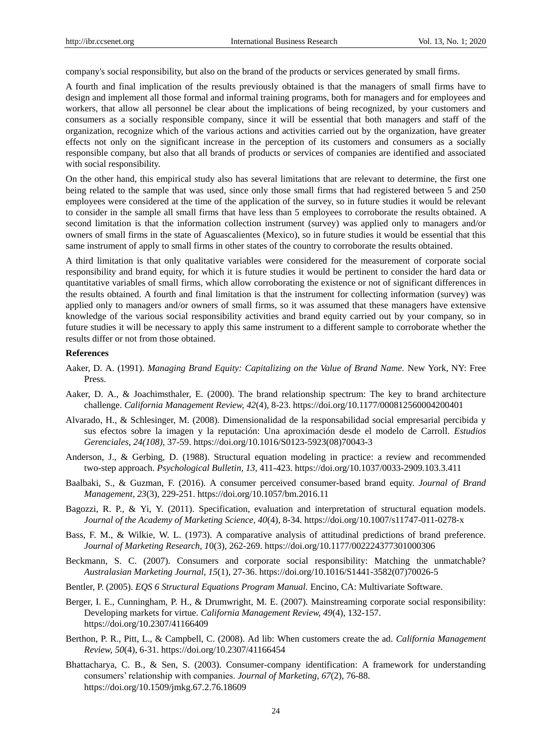company's social responsibility, but also on the brand of the products or services generated by small firms.

A fourth and final implication of the results previously obtained is that the managers of small firms have to design and implement all those formal and informal training programs, both for managers and for employees and workers, that allow all personnel be clear about the implications of being recognized, by your customers and consumers as a socially responsible company, since it will be essential that both managers and staff of the organization, recognize which of the various actions and activities carried out by the organization, have greater effects not only on the significant increase in the perception of its customers and consumers as a socially responsible company, but also that all brands of products or services of companies are identified and associated with social responsibility.

On the other hand, this empirical study also has several limitations that are relevant to determine, the first one being related to the sample that was used, since only those small firms that had registered between 5 and 250 employees were considered at the time of the application of the survey, so in future studies it would be relevant to consider in the sample all small firms that have less than 5 employees to corroborate the results obtained. A second limitation is that the information collection instrument (survey) was applied only to managers and/or owners of small firms in the state of Aguascalientes (Mexico), so in future studies it would be essential that this same instrument of apply to small firms in other states of the country to corroborate the results obtained.

A third limitation is that only qualitative variables were considered for the measurement of corporate social responsibility and brand equity, for which it is future studies it would be pertinent to consider the hard data or quantitative variables of small firms, which allow corroborating the existence or not of significant differences in the results obtained. A fourth and final limitation is that the instrument for collecting information (survey) was applied only to managers and/or owners of small firms, so it was assumed that these managers have extensive knowledge of the various social responsibility activities and brand equity carried out by your company, so in future studies it will be necessary to apply this same instrument to a different sample to corroborate whether the results differ or not from those obtained.

#### **References**

- Aaker, D. A. (1991). *Managing Brand Equity: Capitalizing on the Value of Brand Name.* New York, NY: Free Press.
- Aaker, D. A., & Joachimsthaler, E. (2000). The brand relationship spectrum: The key to brand architecture challenge. *California Management Review, 42*(4), 8-23. https://doi.org/10.1177/000812560004200401
- Alvarado, H., & Schlesinger, M. (2008). Dimensionalidad de la responsabilidad social empresarial percibida y sus efectos sobre la imagen y la reputación: Una aproximación desde el modelo de Carroll. *Estudios Gerenciales, 24(108),* 37-59. https://doi.org/10.1016/S0123-5923(08)70043-3
- Anderson, J., & Gerbing, D. (1988). Structural equation modeling in practice: a review and recommended two-step approach. *Psychological Bulletin, 13,* 411-423. https://doi.org/10.1037/0033-2909.103.3.411
- Baalbaki, S., & Guzman, F. (2016). A consumer perceived consumer-based brand equity. *Journal of Brand Management, 23*(3), 229-251. https://doi.org/10.1057/bm.2016.11
- Bagozzi, R. P., & Yi, Y. (2011). Specification, evaluation and interpretation of structural equation models. *Journal of the Academy of Marketing Science, 40*(4), 8-34. https://doi.org/10.1007/s11747-011-0278-x
- Bass, F. M., & Wilkie, W. L. (1973). A comparative analysis of attitudinal predictions of brand preference. *Journal of Marketing Research, 1*0(3), 262-269. https://doi.org/10.1177/002224377301000306
- Beckmann, S. C. (2007). Consumers and corporate social responsibility: Matching the unmatchable? *Australasian Marketing Journal, 15*(1), 27-36. https://doi.org/10.1016/S1441-3582(07)70026-5
- Bentler, P. (2005). *EQS 6 Structural Equations Program Manual.* Encino, CA: Multivariate Software.
- Berger, I. E., Cunningham, P. H., & Drumwright, M. E. (2007). Mainstreaming corporate social responsibility: Developing markets for virtue. *California Management Review, 49*(4), 132-157. https://doi.org/10.2307/41166409
- Berthon, P. R., Pitt, L., & Campbell, C. (2008). Ad lib: When customers create the ad. *California Management Review, 50*(4), 6-31. https://doi.org/10.2307/41166454
- Bhattacharya, C. B., & Sen, S. (2003). Consumer-company identification: A framework for understanding consumers' relationship with companies. *Journal of Marketing, 67*(2), 76-88. https://doi.org/10.1509/jmkg.67.2.76.18609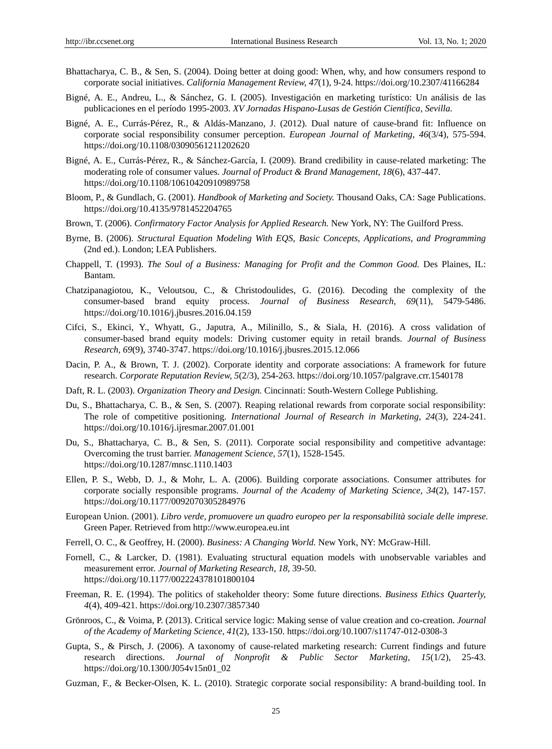- Bhattacharya, C. B., & Sen, S. (2004). Doing better at doing good: When, why, and how consumers respond to corporate social initiatives. *California Management Review, 47*(1), 9-24. https://doi.org/10.2307/41166284
- Bigné, A. E., Andreu, L., & Sánchez, G. I. (2005). Investigación en marketing turístico: Un análisis de las publicaciones en el período 1995-2003. *XV Jornadas Hispano-Lusas de Gestión Científica, Sevilla.*
- Bigné, A. E., Currás-Pérez, R., & Aldás-Manzano, J. (2012). Dual nature of cause-brand fit: Influence on corporate social responsibility consumer perception. *European Journal of Marketing, 46*(3/4), 575-594. https://doi.org/10.1108/03090561211202620
- Bigné, A. E., Currás-Pérez, R., & Sánchez-García, I. (2009). Brand credibility in cause-related marketing: The moderating role of consumer values. *Journal of Product & Brand Management, 18*(6), 437-447. https://doi.org/10.1108/10610420910989758
- Bloom, P., & Gundlach, G. (2001). *Handbook of Marketing and Society.* Thousand Oaks, CA: Sage Publications. https://doi.org/10.4135/9781452204765
- Brown, T. (2006). *Confirmatory Factor Analysis for Applied Research.* New York, NY: The Guilford Press.
- Byrne, B. (2006). *Structural Equation Modeling With EQS, Basic Concepts, Applications, and Programming* (2nd ed.). London; LEA Publishers.
- Chappell, T. (1993). *The Soul of a Business: Managing for Profit and the Common Good.* Des Plaines, IL: Bantam.
- Chatzipanagiotou, K., Veloutsou, C., & Christodoulides, G. (2016). Decoding the complexity of the consumer-based brand equity process. *Journal of Business Research, 69*(11), 5479-5486. https://doi.org/10.1016/j.jbusres.2016.04.159
- Cifci, S., Ekinci, Y., Whyatt, G., Japutra, A., Milinillo, S., & Siala, H. (2016). A cross validation of consumer-based brand equity models: Driving customer equity in retail brands. *Journal of Business Research, 69*(9), 3740-3747. https://doi.org/10.1016/j.jbusres.2015.12.066
- Dacin, P. A., & Brown, T. J. (2002). Corporate identity and corporate associations: A framework for future research. *Corporate Reputation Review, 5*(2/3), 254-263. https://doi.org/10.1057/palgrave.crr.1540178
- Daft, R. L. (2003). *Organization Theory and Design.* Cincinnati: South-Western College Publishing.
- Du, S., Bhattacharya, C. B., & Sen, S. (2007). Reaping relational rewards from corporate social responsibility: The role of competitive positioning. *International Journal of Research in Marketing, 24*(3), 224-241. https://doi.org/10.1016/j.ijresmar.2007.01.001
- Du, S., Bhattacharya, C. B., & Sen, S. (2011). Corporate social responsibility and competitive advantage: Overcoming the trust barrier. *Management Science, 57*(1), 1528-1545. https://doi.org/10.1287/mnsc.1110.1403
- Ellen, P. S., Webb, D. J., & Mohr, L. A. (2006). Building corporate associations. Consumer attributes for corporate socially responsible programs. *Journal of the Academy of Marketing Science, 34*(2), 147-157. https://doi.org/10.1177/0092070305284976
- European Union. (2001). *Libro verde, promuovere un quadro europeo per la responsabilità sociale delle imprese.*  Green Paper. Retrieved from http://www.europea.eu.int
- Ferrell, O. C., & Geoffrey, H. (2000). *Business: A Changing World.* New York, NY: McGraw-Hill.
- Fornell, C., & Larcker, D. (1981). Evaluating structural equation models with unobservable variables and measurement error. *Journal of Marketing Research, 18,* 39-50. https://doi.org/10.1177/002224378101800104
- Freeman, R. E. (1994). The politics of stakeholder theory: Some future directions. *Business Ethics Quarterly, 4*(4), 409-421. https://doi.org/10.2307/3857340
- Grönroos, C., & Voima, P. (2013). Critical service logic: Making sense of value creation and co-creation. *Journal of the Academy of Marketing Science, 41*(2), 133-150. https://doi.org/10.1007/s11747-012-0308-3
- Gupta, S., & Pirsch, J. (2006). A taxonomy of cause-related marketing research: Current findings and future research directions. *Journal of Nonprofit & Public Sector Marketing, 15*(1/2), 25-43. https://doi.org/10.1300/J054v15n01\_02
- Guzman, F., & Becker-Olsen, K. L. (2010). Strategic corporate social responsibility: A brand-building tool. In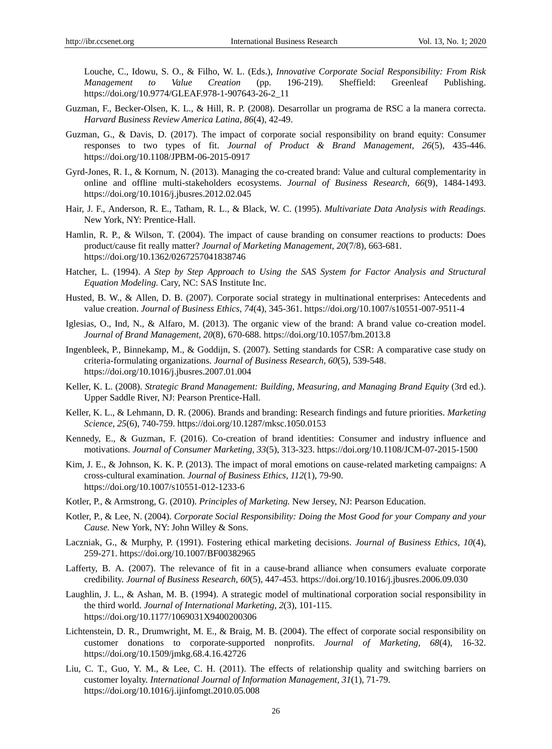Louche, C., Idowu, S. O., & Filho, W. L. (Eds.), *Innovative Corporate Social Responsibility: From Risk Management to Value Creation* (pp. 196-219)*.* Sheffield: Greenleaf Publishing. https://doi.org/10.9774/GLEAF.978-1-907643-26-2\_11

- Guzman, F., Becker-Olsen, K. L., & Hill, R. P. (2008). Desarrollar un programa de RSC a la manera correcta. *Harvard Business Review America Latina, 86*(4), 42-49.
- Guzman, G., & Davis, D. (2017). The impact of corporate social responsibility on brand equity: Consumer responses to two types of fit. *Journal of Product & Brand Management, 26*(5), 435-446. https://doi.org/10.1108/JPBM-06-2015-0917
- Gyrd-Jones, R. I., & Kornum, N. (2013). Managing the co-created brand: Value and cultural complementarity in online and offline multi-stakeholders ecosystems. *Journal of Business Research, 66*(9), 1484-1493. https://doi.org/10.1016/j.jbusres.2012.02.045
- Hair, J. F., Anderson, R. E., Tatham, R. L., & Black, W. C. (1995). *Multivariate Data Analysis with Readings.*  New York, NY: Prentice-Hall.
- Hamlin, R. P., & Wilson, T. (2004). The impact of cause branding on consumer reactions to products: Does product/cause fit really matter? *Journal of Marketing Management, 20*(7/8), 663-681. https://doi.org/10.1362/0267257041838746
- Hatcher, L. (1994). *A Step by Step Approach to Using the SAS System for Factor Analysis and Structural Equation Modeling.* Cary, NC: SAS Institute Inc.
- Husted, B. W., & Allen, D. B. (2007). Corporate social strategy in multinational enterprises: Antecedents and value creation. *Journal of Business Ethics, 74*(4), 345-361. https://doi.org/10.1007/s10551-007-9511-4
- Iglesias, O., Ind, N., & Alfaro, M. (2013). The organic view of the brand: A brand value co-creation model. *Journal of Brand Management, 20*(8), 670-688. https://doi.org/10.1057/bm.2013.8
- Ingenbleek, P., Binnekamp, M., & Goddijn, S. (2007). Setting standards for CSR: A comparative case study on criteria-formulating organizations. *Journal of Business Research, 60*(5), 539-548. https://doi.org/10.1016/j.jbusres.2007.01.004
- Keller, K. L. (2008). *Strategic Brand Management: Building, Measuring, and Managing Brand Equity* (3rd ed.). Upper Saddle River, NJ: Pearson Prentice-Hall.
- Keller, K. L., & Lehmann, D. R. (2006). Brands and branding: Research findings and future priorities. *Marketing Science, 25*(6), 740-759. https://doi.org/10.1287/mksc.1050.0153
- Kennedy, E., & Guzman, F. (2016). Co-creation of brand identities: Consumer and industry influence and motivations. *Journal of Consumer Marketing, 33*(5), 313-323. https://doi.org/10.1108/JCM-07-2015-1500
- Kim, J. E., & Johnson, K. K. P. (2013). The impact of moral emotions on cause-related marketing campaigns: A cross-cultural examination. *Journal of Business Ethics, 112*(1), 79-90. https://doi.org/10.1007/s10551-012-1233-6
- Kotler, P., & Armstrong, G. (2010). *Principles of Marketing.* New Jersey, NJ: Pearson Education.
- Kotler, P., & Lee, N. (2004). *Corporate Social Responsibility: Doing the Most Good for your Company and your Cause.* New York, NY: John Willey & Sons.
- Laczniak, G., & Murphy, P. (1991). Fostering ethical marketing decisions. *Journal of Business Ethics, 10*(4), 259-271. https://doi.org/10.1007/BF00382965
- Lafferty, B. A. (2007). The relevance of fit in a cause-brand alliance when consumers evaluate corporate credibility. *Journal of Business Research, 60*(5), 447-453. https://doi.org/10.1016/j.jbusres.2006.09.030
- Laughlin, J. L., & Ashan, M. B. (1994). A strategic model of multinational corporation social responsibility in the third world. *Journal of International Marketing, 2*(3), 101-115. https://doi.org/10.1177/1069031X9400200306
- Lichtenstein, D. R., Drumwright, M. E., & Braig, M. B. (2004). The effect of corporate social responsibility on customer donations to corporate-supported nonprofits. *Journal of Marketing, 68*(4), 16-32. https://doi.org/10.1509/jmkg.68.4.16.42726
- Liu, C. T., Guo, Y. M., & Lee, C. H. (2011). The effects of relationship quality and switching barriers on customer loyalty. *International Journal of Information Management, 31*(1), 71-79. https://doi.org/10.1016/j.ijinfomgt.2010.05.008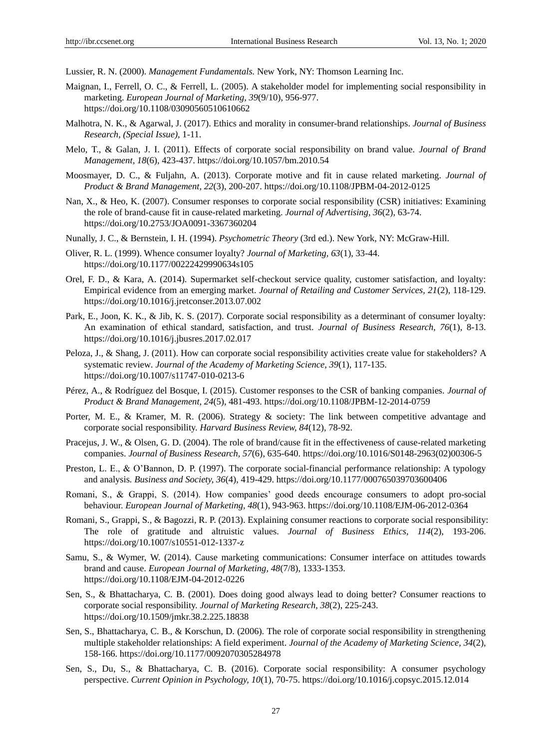Lussier, R. N. (2000). *Management Fundamentals.* New York, NY: Thomson Learning Inc.

- Maignan, I., Ferrell, O. C., & Ferrell, L. (2005). A stakeholder model for implementing social responsibility in marketing. *European Journal of Marketing, 39*(9/10), 956-977. https://doi.org/10.1108/03090560510610662
- Malhotra, N. K., & Agarwal, J. (2017). Ethics and morality in consumer-brand relationships. *Journal of Business Research*, *(Special Issue),* 1-11.
- Melo, T., & Galan, J. I. (2011). Effects of corporate social responsibility on brand value. *Journal of Brand Management, 18*(6), 423-437. https://doi.org/10.1057/bm.2010.54
- Moosmayer, D. C., & Fuljahn, A. (2013). Corporate motive and fit in cause related marketing. *Journal of Product & Brand Management, 22*(3), 200-207. https://doi.org/10.1108/JPBM-04-2012-0125
- Nan, X., & Heo, K. (2007). Consumer responses to corporate social responsibility (CSR) initiatives: Examining the role of brand-cause fit in cause-related marketing. *Journal of Advertising, 36*(2), 63-74. https://doi.org/10.2753/JOA0091-3367360204
- Nunally, J. C., & Bernstein, I. H. (1994). *Psychometric Theory* (3rd ed.). New York, NY: McGraw-Hill.
- Oliver, R. L. (1999). Whence consumer loyalty? *Journal of Marketing, 63*(1), 33-44. https://doi.org/10.1177/00222429990634s105
- Orel, F. D., & Kara, A. (2014). Supermarket self-checkout service quality, customer satisfaction, and loyalty: Empirical evidence from an emerging market. *Journal of Retailing and Customer Services, 21*(2), 118-129. https://doi.org/10.1016/j.jretconser.2013.07.002
- Park, E., Joon, K. K., & Jib, K. S. (2017). Corporate social responsibility as a determinant of consumer loyalty: An examination of ethical standard, satisfaction, and trust. *Journal of Business Research, 76*(1), 8-13. https://doi.org/10.1016/j.jbusres.2017.02.017
- Peloza, J., & Shang, J. (2011). How can corporate social responsibility activities create value for stakeholders? A systematic review*. Journal of the Academy of Marketing Science, 39*(1), 117-135. https://doi.org/10.1007/s11747-010-0213-6
- Pérez, A., & Rodríguez del Bosque, I. (2015). Customer responses to the CSR of banking companies. *Journal of Product & Brand Management, 24*(5), 481-493. https://doi.org/10.1108/JPBM-12-2014-0759
- Porter, M. E., & Kramer, M. R. (2006). Strategy & society: The link between competitive advantage and corporate social responsibility. *Harvard Business Review, 84*(12), 78-92.
- Pracejus, J. W., & Olsen, G. D. (2004). The role of brand/cause fit in the effectiveness of cause-related marketing companies. *Journal of Business Research, 57*(6), 635-640. https://doi.org/10.1016/S0148-2963(02)00306-5
- Preston, L. E., & O'Bannon, D. P. (1997). The corporate social-financial performance relationship: A typology and analysis*. Business and Society, 36*(4), 419-429. https://doi.org/10.1177/000765039703600406
- Romani, S., & Grappi, S. (2014). How companies' good deeds encourage consumers to adopt pro-social behaviour. *European Journal of Marketing, 48*(1), 943-963. https://doi.org/10.1108/EJM-06-2012-0364
- Romani, S., Grappi, S., & Bagozzi, R. P. (2013). Explaining consumer reactions to corporate social responsibility: The role of gratitude and altruistic values. *Journal of Business Ethics, 114*(2), 193-206. https://doi.org/10.1007/s10551-012-1337-z
- Samu, S., & Wymer, W. (2014). Cause marketing communications: Consumer interface on attitudes towards brand and cause. *European Journal of Marketing, 48*(7/8), 1333-1353. https://doi.org/10.1108/EJM-04-2012-0226
- Sen, S., & Bhattacharya, C. B. (2001). Does doing good always lead to doing better? Consumer reactions to corporate social responsibility. *Journal of Marketing Research, 38*(2), 225-243. https://doi.org/10.1509/jmkr.38.2.225.18838
- Sen, S., Bhattacharya, C. B., & Korschun, D. (2006). The role of corporate social responsibility in strengthening multiple stakeholder relationships: A field experiment. *Journal of the Academy of Marketing Science, 34*(2), 158-166. https://doi.org/10.1177/0092070305284978
- Sen, S., Du, S., & Bhattacharya, C. B. (2016). Corporate social responsibility: A consumer psychology perspective. *Current Opinion in Psychology, 10*(1), 70-75. https://doi.org/10.1016/j.copsyc.2015.12.014